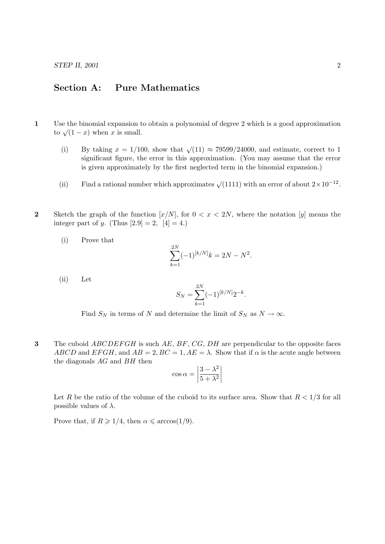## Section A: Pure Mathematics

- 1 Use the binomial expansion to obtain a polynomial of degree 2 which is a good approximation  $\cos \theta$  the binomial expansion of to  $\sqrt{(1-x)}$  when x is small.
	- (i) By taking  $x = 1/100$ , show that  $\sqrt{(11)} \approx 79599/24000$ , and estimate, correct to 1 significant figure, the error in this approximation. (You may assume that the error is given approximately by the first neglected term in the binomial expansion.)
	- (ii) Find a rational number which approximates  $\sqrt{(1111)}$  with an error of about  $2 \times 10^{-12}$ .
- 2 Sketch the graph of the function  $[x/N]$ , for  $0 < x < 2N$ , where the notation  $[y]$  means the integer part of y. (Thus  $[2.9] = 2$ ,  $[4] = 4$ .)
	- (i) Prove that

$$
\sum_{k=1}^{2N}(-1)^{[k/N]}k = 2N - N^2.
$$

(ii) Let

$$
S_N = \sum_{k=1}^{2N} (-1)^{[k/N]} 2^{-k}.
$$

Find  $S_N$  in terms of N and determine the limit of  $S_N$  as  $N \to \infty$ .

3 The cuboid  $ABCDEFGH$  is such  $AE$ ,  $BF$ ,  $CG$ ,  $DH$  are perpendicular to the opposite faces ABCD and EFGH, and  $AB = 2$ ,  $BC = 1$ ,  $AE = \lambda$ . Show that if  $\alpha$  is the acute angle between the diagonals  $AG$  and  $BH$  then

$$
\cos \alpha = \left| \frac{3 - \lambda^2}{5 + \lambda^2} \right|
$$

Let R be the ratio of the volume of the cuboid to its surface area. Show that  $R < 1/3$  for all possible values of  $\lambda$ .

Prove that, if  $R \geq 1/4$ , then  $\alpha \leq \arccos(1/9)$ .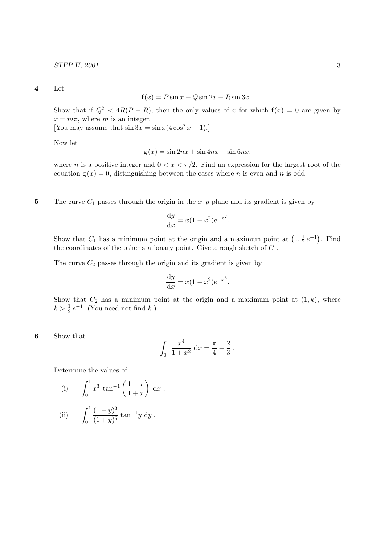4 Let

$$
f(x) = P\sin x + Q\sin 2x + R\sin 3x.
$$

Show that if  $Q^2 < 4R(P - R)$ , then the only values of x for which  $f(x) = 0$  are given by  $x = m\pi$ , where m is an integer.

[You may assume that  $\sin 3x = \sin x (4 \cos^2 x - 1)$ .]

Now let

$$
g(x) = \sin 2nx + \sin 4nx - \sin 6nx,
$$

where n is a positive integer and  $0 < x < \pi/2$ . Find an expression for the largest root of the equation  $g(x) = 0$ , distinguishing between the cases where *n* is even and *n* is odd.

5 The curve  $C_1$  passes through the origin in the  $x-y$  plane and its gradient is given by

$$
\frac{\mathrm{d}y}{\mathrm{d}x} = x(1 - x^2)e^{-x^2}.
$$

Show that  $C_1$  has a minimum point at the origin and a maximum point at  $\left(1, \frac{1}{2}\right)$  $(\frac{1}{2}e^{-1})$ . Find the coordinates of the other stationary point. Give a rough sketch of  $C_1$ .

The curve  $C_2$  passes through the origin and its gradient is given by

$$
\frac{\mathrm{d}y}{\mathrm{d}x} = x(1 - x^2)e^{-x^3}.
$$

Show that  $C_2$  has a minimum point at the origin and a maximum point at  $(1, k)$ , where  $k > \frac{1}{2} e^{-1}$ . (You need not find k.)

6 Show that

$$
\int_0^1 \frac{x^4}{1+x^2} \, \mathrm{d}x = \frac{\pi}{4} - \frac{2}{3} \, .
$$

Determine the values of

(i) 
$$
\int_0^1 x^3 \tan^{-1} \left( \frac{1-x}{1+x} \right) dx
$$
,

(ii) 
$$
\int_0^1 \frac{(1-y)^3}{(1+y)^5} \tan^{-1}y \ dy.
$$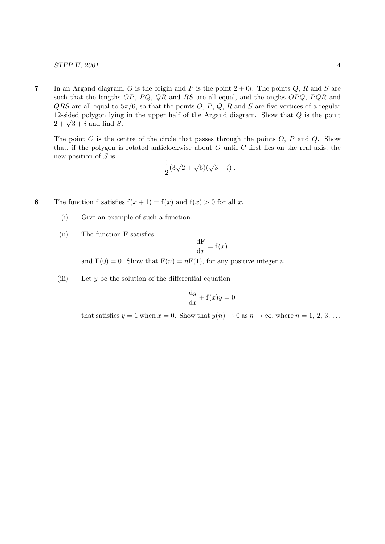## STEP II, 2001 4

7 In an Argand diagram, O is the origin and P is the point  $2 + 0i$ . The points Q, R and S are such that the lengths  $OP$ ,  $PQ$ ,  $QR$  and  $RS$  are all equal, and the angles  $OPQ$ ,  $PQR$  and  $QRS$  are all equal to  $5\pi/6$ , so that the points O, P, Q, R and S are five vertices of a regular 12-sided polygon lying in the upper half of the Argand diagram. Show that Q is the point 12-sided polygon lying<br> $2 + \sqrt{3} + i$  and find S.

The point  $C$  is the centre of the circle that passes through the points  $O, P$  and  $Q$ . Show that, if the polygon is rotated anticlockwise about  $O$  until  $C$  first lies on the real axis, the new position of S is

$$
-\frac{1}{2}(3\sqrt{2} + \sqrt{6})(\sqrt{3} - i).
$$

- 8 The function f satisfies  $f(x+1) = f(x)$  and  $f(x) > 0$  for all x.
	- (i) Give an example of such a function.
	- (ii) The function F satisfies

$$
\frac{\mathrm{d} \mathbf{F}}{\mathrm{d} x} = \mathbf{f}(x)
$$

and  $F(0) = 0$ . Show that  $F(n) = nF(1)$ , for any positive integer n.

(iii) Let  $y$  be the solution of the differential equation

$$
\frac{\mathrm{d}y}{\mathrm{d}x} + \mathbf{f}(x)y = 0
$$

that satisfies  $y = 1$  when  $x = 0$ . Show that  $y(n) \to 0$  as  $n \to \infty$ , where  $n = 1, 2, 3, ...$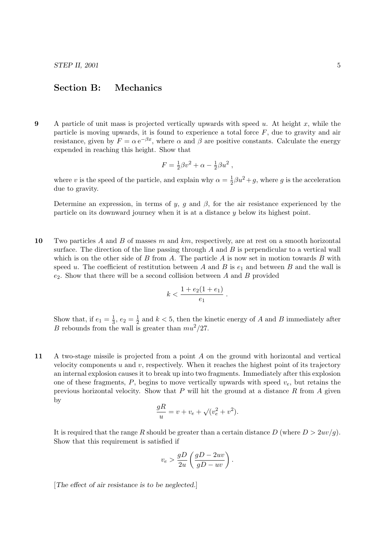## Section B: Mechanics

9 A particle of unit mass is projected vertically upwards with speed  $u$ . At height  $x$ , while the particle is moving upwards, it is found to experience a total force  $F$ , due to gravity and air resistance, given by  $F = \alpha e^{-\beta x}$ , where  $\alpha$  and  $\beta$  are positive constants. Calculate the energy expended in reaching this height. Show that

$$
F = \frac{1}{2}\beta v^2 + \alpha - \frac{1}{2}\beta u^2 ,
$$

where v is the speed of the particle, and explain why  $\alpha = \frac{1}{2}$  $\frac{1}{2}\beta u^2 + g$ , where g is the acceleration due to gravity.

Determine an expression, in terms of y, g and  $\beta$ , for the air resistance experienced by the particle on its downward journey when it is at a distance y below its highest point.

10 Two particles A and B of masses m and km, respectively, are at rest on a smooth horizontal surface. The direction of the line passing through  $A$  and  $B$  is perpendicular to a vertical wall which is on the other side of B from A. The particle A is now set in motion towards B with speed u. The coefficient of restitution between A and B is  $e_1$  and between B and the wall is  $e_2$ . Show that there will be a second collision between A and B provided

$$
k < \frac{1 + e_2(1 + e_1)}{e_1} \, .
$$

Show that, if  $e_1 = \frac{1}{3}$  $\frac{1}{3}$ ,  $e_2 = \frac{1}{2}$  $\frac{1}{2}$  and  $k < 5$ , then the kinetic energy of A and B immediately after B rebounds from the wall is greater than  $mu^2/27$ .

11 A two-stage missile is projected from a point A on the ground with horizontal and vertical velocity components  $u$  and  $v$ , respectively. When it reaches the highest point of its trajectory an internal explosion causes it to break up into two fragments. Immediately after this explosion one of these fragments, P, begins to move vertically upwards with speed  $v_e$ , but retains the previous horizontal velocity. Show that  $P$  will hit the ground at a distance  $R$  from  $A$  given by

$$
\frac{gR}{u} = v + v_e + \sqrt{(v_e^2 + v^2)}.
$$

It is required that the range R should be greater than a certain distance  $D$  (where  $D > 2uv/g$ ). Show that this requirement is satisfied if

$$
v_e > \frac{gD}{2u} \left( \frac{gD - 2uv}{gD - uv} \right).
$$

[The effect of air resistance is to be neglected.]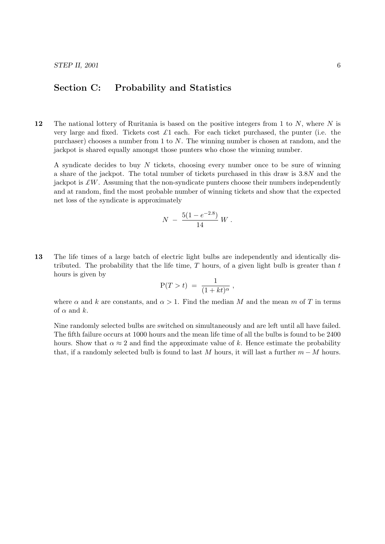## Section C: Probability and Statistics

12 The national lottery of Ruritania is based on the positive integers from 1 to  $N$ , where  $N$  is very large and fixed. Tickets cost  $\pounds 1$  each. For each ticket purchased, the punter (i.e. the purchaser) chooses a number from 1 to  $N$ . The winning number is chosen at random, and the jackpot is shared equally amongst those punters who chose the winning number.

A syndicate decides to buy N tickets, choosing every number once to be sure of winning a share of the jackpot. The total number of tickets purchased in this draw is 3.8N and the jackpot is  $\pounds W$ . Assuming that the non-syndicate punters choose their numbers independently and at random, find the most probable number of winning tickets and show that the expected net loss of the syndicate is approximately

$$
N - \frac{5(1 - e^{-2.8})}{14} W.
$$

13 The life times of a large batch of electric light bulbs are independently and identically distributed. The probability that the life time,  $T$  hours, of a given light bulb is greater than  $t$ hours is given by

$$
P(T > t) = \frac{1}{(1 + kt)^{\alpha}},
$$

where  $\alpha$  and k are constants, and  $\alpha > 1$ . Find the median M and the mean m of T in terms of  $\alpha$  and  $k$ .

Nine randomly selected bulbs are switched on simultaneously and are left until all have failed. The fifth failure occurs at 1000 hours and the mean life time of all the bulbs is found to be 2400 hours. Show that  $\alpha \approx 2$  and find the approximate value of k. Hence estimate the probability that, if a randomly selected bulb is found to last M hours, it will last a further  $m - M$  hours.